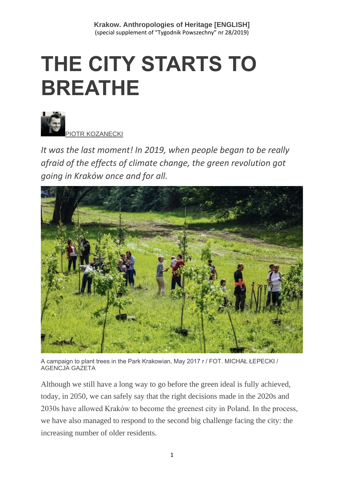# **THE CITY STARTS TO BREATHE**



*It was the last moment! In 2019, when people began to be really afraid of the effects of climate change, the green revolution got going in Kraków once and for all.*



A campaign to plant trees in the Park Krakowian, May 2017 r / FOT. MICHAŁ ŁEPECKI / AGENCJA GAZETA

Although we still have a long way to go before the green ideal is fully achieved, today, in 2050, we can safely say that the right decisions made in the 2020s and 2030s have allowed Kraków to become the greenest city in Poland. In the process, we have also managed to respond to the second big challenge facing the city: the increasing number of older residents.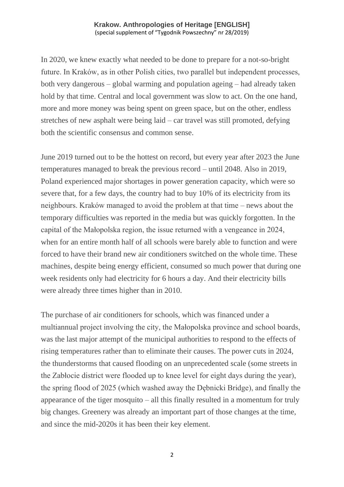In 2020, we knew exactly what needed to be done to prepare for a not-so-bright future. In Kraków, as in other Polish cities, two parallel but independent processes, both very dangerous – global warming and population ageing – had already taken hold by that time. Central and local government was slow to act. On the one hand, more and more money was being spent on green space, but on the other, endless stretches of new asphalt were being laid – car travel was still promoted, defying both the scientific consensus and common sense.

June 2019 turned out to be the hottest on record, but every year after 2023 the June temperatures managed to break the previous record – until 2048. Also in 2019, Poland experienced major shortages in power generation capacity, which were so severe that, for a few days, the country had to buy 10% of its electricity from its neighbours. Kraków managed to avoid the problem at that time – news about the temporary difficulties was reported in the media but was quickly forgotten. In the capital of the Małopolska region, the issue returned with a vengeance in 2024, when for an entire month half of all schools were barely able to function and were forced to have their brand new air conditioners switched on the whole time. These machines, despite being energy efficient, consumed so much power that during one week residents only had electricity for 6 hours a day. And their electricity bills were already three times higher than in 2010.

The purchase of air conditioners for schools, which was financed under a multiannual project involving the city, the Małopolska province and school boards, was the last major attempt of the municipal authorities to respond to the effects of rising temperatures rather than to eliminate their causes. The power cuts in 2024, the thunderstorms that caused flooding on an unprecedented scale (some streets in the Zabłocie district were flooded up to knee level for eight days during the year), the spring flood of 2025 (which washed away the Dębnicki Bridge), and finally the appearance of the tiger mosquito – all this finally resulted in a momentum for truly big changes. Greenery was already an important part of those changes at the time, and since the mid-2020s it has been their key element.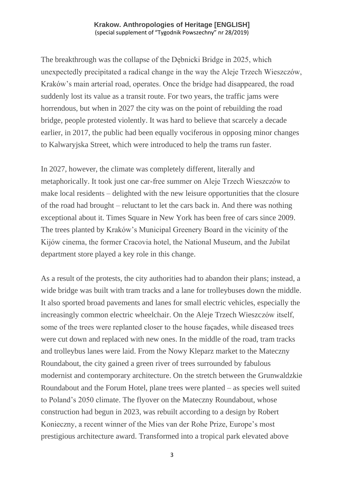The breakthrough was the collapse of the Dębnicki Bridge in 2025, which unexpectedly precipitated a radical change in the way the Aleje Trzech Wieszczów, Kraków's main arterial road, operates. Once the bridge had disappeared, the road suddenly lost its value as a transit route. For two years, the traffic jams were horrendous, but when in 2027 the city was on the point of rebuilding the road bridge, people protested violently. It was hard to believe that scarcely a decade earlier, in 2017, the public had been equally vociferous in opposing minor changes to Kalwaryjska Street, which were introduced to help the trams run faster.

In 2027, however, the climate was completely different, literally and metaphorically. It took just one car-free summer on Aleje Trzech Wieszczów to make local residents – delighted with the new leisure opportunities that the closure of the road had brought – reluctant to let the cars back in. And there was nothing exceptional about it. Times Square in New York has been free of cars since 2009. The trees planted by Kraków's Municipal Greenery Board in the vicinity of the Kijów cinema, the former Cracovia hotel, the National Museum, and the Jubilat department store played a key role in this change.

As a result of the protests, the city authorities had to abandon their plans; instead, a wide bridge was built with tram tracks and a lane for trolleybuses down the middle. It also sported broad pavements and lanes for small electric vehicles, especially the increasingly common electric wheelchair. On the Aleje Trzech Wieszczów itself, some of the trees were replanted closer to the house façades, while diseased trees were cut down and replaced with new ones. In the middle of the road, tram tracks and trolleybus lanes were laid. From the Nowy Kleparz market to the Mateczny Roundabout, the city gained a green river of trees surrounded by fabulous modernist and contemporary architecture. On the stretch between the Grunwaldzkie Roundabout and the Forum Hotel, plane trees were planted – as species well suited to Poland's 2050 climate. The flyover on the Mateczny Roundabout, whose construction had begun in 2023, was rebuilt according to a design by Robert Konieczny, a recent winner of the Mies van der Rohe Prize, Europe's most prestigious architecture award. Transformed into a tropical park elevated above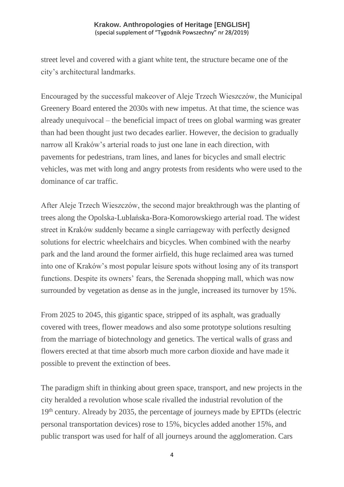street level and covered with a giant white tent, the structure became one of the city's architectural landmarks.

Encouraged by the successful makeover of Aleje Trzech Wieszczów, the Municipal Greenery Board entered the 2030s with new impetus. At that time, the science was already unequivocal – the beneficial impact of trees on global warming was greater than had been thought just two decades earlier. However, the decision to gradually narrow all Kraków's arterial roads to just one lane in each direction, with pavements for pedestrians, tram lines, and lanes for bicycles and small electric vehicles, was met with long and angry protests from residents who were used to the dominance of car traffic.

After Aleje Trzech Wieszczów, the second major breakthrough was the planting of trees along the Opolska-Lublańska-Bora-Komorowskiego arterial road. The widest street in Kraków suddenly became a single carriageway with perfectly designed solutions for electric wheelchairs and bicycles. When combined with the nearby park and the land around the former airfield, this huge reclaimed area was turned into one of Kraków's most popular leisure spots without losing any of its transport functions. Despite its owners' fears, the Serenada shopping mall, which was now surrounded by vegetation as dense as in the jungle, increased its turnover by 15%.

From 2025 to 2045, this gigantic space, stripped of its asphalt, was gradually covered with trees, flower meadows and also some prototype solutions resulting from the marriage of biotechnology and genetics. The vertical walls of grass and flowers erected at that time absorb much more carbon dioxide and have made it possible to prevent the extinction of bees.

The paradigm shift in thinking about green space, transport, and new projects in the city heralded a revolution whose scale rivalled the industrial revolution of the 19th century. Already by 2035, the percentage of journeys made by EPTDs (electric personal transportation devices) rose to 15%, bicycles added another 15%, and public transport was used for half of all journeys around the agglomeration. Cars

4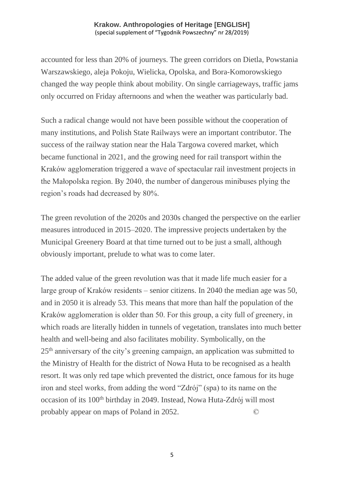accounted for less than 20% of journeys. The green corridors on Dietla, Powstania Warszawskiego, aleja Pokoju, Wielicka, Opolska, and Bora-Komorowskiego changed the way people think about mobility. On single carriageways, traffic jams only occurred on Friday afternoons and when the weather was particularly bad.

Such a radical change would not have been possible without the cooperation of many institutions, and Polish State Railways were an important contributor. The success of the railway station near the Hala Targowa covered market, which became functional in 2021, and the growing need for rail transport within the Kraków agglomeration triggered a wave of spectacular rail investment projects in the Małopolska region. By 2040, the number of dangerous minibuses plying the region's roads had decreased by 80%.

The green revolution of the 2020s and 2030s changed the perspective on the earlier measures introduced in 2015–2020. The impressive projects undertaken by the Municipal Greenery Board at that time turned out to be just a small, although obviously important, prelude to what was to come later.

The added value of the green revolution was that it made life much easier for a large group of Kraków residents – senior citizens. In 2040 the median age was 50, and in 2050 it is already 53. This means that more than half the population of the Kraków agglomeration is older than 50. For this group, a city full of greenery, in which roads are literally hidden in tunnels of vegetation, translates into much better health and well-being and also facilitates mobility. Symbolically, on the 25th anniversary of the city's greening campaign, an application was submitted to the Ministry of Health for the district of Nowa Huta to be recognised as a health resort. It was only red tape which prevented the district, once famous for its huge iron and steel works, from adding the word "Zdrój" (spa) to its name on the occasion of its 100<sup>th</sup> birthday in 2049. Instead, Nowa Huta-Zdrój will most probably appear on maps of Poland in 2052. ©

5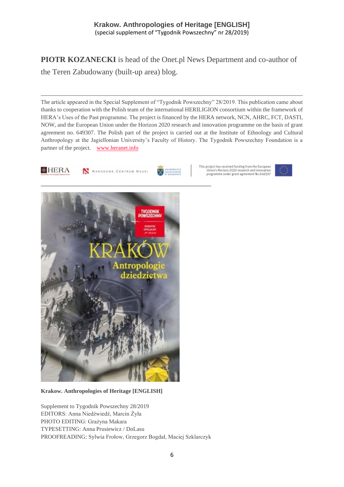**PIOTR KOZANECKI** is head of the Onet.pl News Department and co-author of the Teren Zabudowany (built-up area) blog.

The article appeared in the Special Supplement of "Tygodnik Powszechny" 28/2019. This publication came about thanks to cooperation with the Polish team of the international HERILIGION consortium within the framework of HERA's Uses of the Past programme. The project is financed by the HERA network, NCN, AHRC, FCT, DASTI, NOW, and the European Union under the Horizon 2020 research and innovation programme on the basis of grant agreement no. 649307. The Polish part of the project is carried out at the Institute of Ethnology and Cultural Anthropology at the Jagiellonian University's Faculty of History. The Tygodnik Powszechny Foundation is a partner of the project. [www.heranet.info](http://www.heranet.info/)



N NARODOWE CENTRUM NAUKI

This project has received funding from the European project nas received funding from the coropean<br>Union's Horizon 2020 research and innovation<br>programme under grant agreement No 649307





**Krakow. Anthropologies of Heritage [ENGLISH]**

Supplement to Tygodnik Powszechny 28/2019 EDITORS: Anna Niedźwiedź, Marcin Żyła PHOTO EDITING: Grażyna Makara TYPESETTING: Anna Prusiewicz / DoLasu PROOFREADING: Sylwia Frołow, Grzegorz Bogdał, Maciej Szklarczyk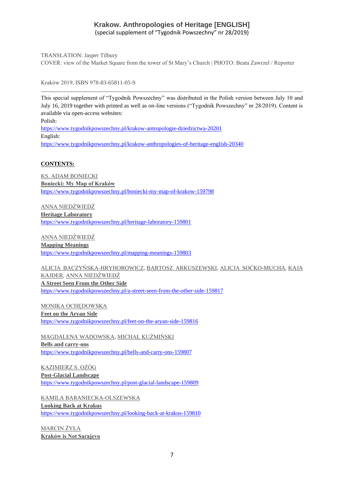TRANSLATION: Jasper Tilbury COVER: view of the Market Square from the tower of St Mary's Church | PHOTO: Beata Zawrzel / Reporter

Kraków 2019, ISBN 978-83-65811-05-9

This special supplement of "Tygodnik Powszechny" was distributed in the Polish version between July 10 and July 16, 2019 together with printed as well as on-line versions ("Tygodnik Powszechny" nr 28/2019). Content is available via open-access websites: Polish: <https://www.tygodnikpowszechny.pl/krakow-antropologie-dziedzictwa-20201> English:

<https://www.tygodnikpowszechny.pl/krakow-anthropologies-of-heritage-english-20340>

#### **CONTENTS:**

[KS. ADAM BONIECKI](https://www.tygodnikpowszechny.pl/autor/ks-adam-boniecki-52) **[Boniecki: My Map of Kraków](https://www.tygodnikpowszechny.pl/boniecki-my-map-of-krakow-159798)** <https://www.tygodnikpowszechny.pl/boniecki-my-map-of-krakow-159798>

[ANNA NIEDŹWIEDŹ](https://www.tygodnikpowszechny.pl/autor/anna-niedzwiedz-1163) **[Heritage Laboratory](https://www.tygodnikpowszechny.pl/heritage-laboratory-159801)** <https://www.tygodnikpowszechny.pl/heritage-laboratory-159801>

[ANNA NIEDŹWIEDŹ](https://www.tygodnikpowszechny.pl/autor/anna-niedzwiedz-1163) **[Mapping Meanings](https://www.tygodnikpowszechny.pl/mapping-meanings-159803)** <https://www.tygodnikpowszechny.pl/mapping-meanings-159803>

[ALICJA BACZYŃSKA-HRYHOROWICZ,](https://www.tygodnikpowszechny.pl/autor/alicja-baczynska-hryhorowicz-20191) [BARTOSZ ARKUSZEWSKI,](https://www.tygodnikpowszechny.pl/autor/bartosz-arkuszewski-20192) [ALICJA SOĆKO-MUCHA,](https://www.tygodnikpowszechny.pl/autor/alicja-socko-mucha-20193) [KAJA](https://www.tygodnikpowszechny.pl/autor/kaja-kajder-20194)  [KAJDER,](https://www.tygodnikpowszechny.pl/autor/kaja-kajder-20194) [ANNA NIEDŹWIEDŹ](https://www.tygodnikpowszechny.pl/autor/anna-niedzwiedz-1163) **[A Street Seen From the Other Side](https://www.tygodnikpowszechny.pl/a-street-seen-from-the-other-side-159817)** <https://www.tygodnikpowszechny.pl/a-street-seen-from-the-other-side-159817>

[MONIKA OCHĘDOWSKA](https://www.tygodnikpowszechny.pl/autor/monika-ochedowska-16005) **[Feet on the Aryan Side](https://www.tygodnikpowszechny.pl/feet-on-the-aryan-side-159816)** <https://www.tygodnikpowszechny.pl/feet-on-the-aryan-side-159816>

[MAGDALENA WADOWSKA,](https://www.tygodnikpowszechny.pl/autor/magdalena-wadowska-20195) [MICHAŁ KUŹMIŃSKI](https://www.tygodnikpowszechny.pl/autor/michal-kuzminski-109) **[Bells and carry-ons](https://www.tygodnikpowszechny.pl/bells-and-carry-ons-159807)** <https://www.tygodnikpowszechny.pl/bells-and-carry-ons-159807>

[KAZIMIERZ S. OŻÓG](https://www.tygodnikpowszechny.pl/autor/kazimierz-s-ozog-20196) **[Post-Glacial Landscape](https://www.tygodnikpowszechny.pl/post-glacial-landscape-159809)** <https://www.tygodnikpowszechny.pl/post-glacial-landscape-159809>

[KAMILA BARANIECKA-OLSZEWSKA](https://www.tygodnikpowszechny.pl/autor/kamila-baraniecka-olszewska-20197) **[Looking Back at Krakus](https://www.tygodnikpowszechny.pl/looking-back-at-krakus-159810)** <https://www.tygodnikpowszechny.pl/looking-back-at-krakus-159810>

[MARCIN ŻYŁA](https://www.tygodnikpowszechny.pl/autor/marcin-zyla-59) **[Kraków is Not Sarajevo](https://www.tygodnikpowszechny.pl/krakow-is-not-sarajevo-159811)**